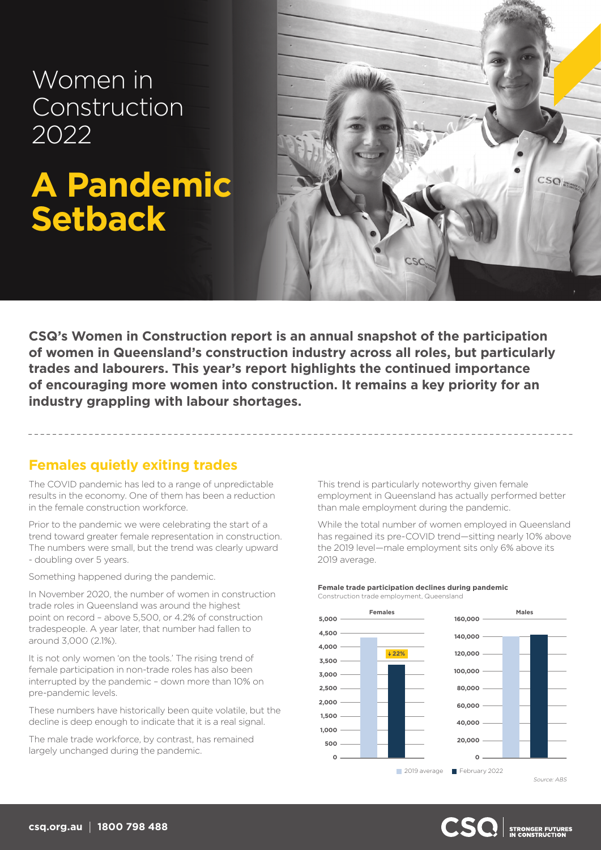Women in Construction 2022

# **A Pandemic Setback**



**CSQ's Women in Construction report is an annual snapshot of the participation of women in Queensland's construction industry across all roles, but particularly trades and labourers. This year's report highlights the continued importance of encouraging more women into construction. It remains a key priority for an industry grappling with labour shortages.**

## **Females quietly exiting trades**

The COVID pandemic has led to a range of unpredictable results in the economy. One of them has been a reduction in the female construction workforce.

Prior to the pandemic we were celebrating the start of a trend toward greater female representation in construction. The numbers were small, but the trend was clearly upward - doubling over 5 years.

Something happened during the pandemic.

In November 2020, the number of women in construction trade roles in Queensland was around the highest point on record – above 5,500, or 4.2% of construction tradespeople. A year later, that number had fallen to around 3,000 (2.1%).

It is not only women 'on the tools.' The rising trend of female participation in non-trade roles has also been interrupted by the pandemic – down more than 10% on pre-pandemic levels.

These numbers have historically been quite volatile, but the decline is deep enough to indicate that it is a real signal.

The male trade workforce, by contrast, has remained largely unchanged during the pandemic.

This trend is particularly noteworthy given female employment in Queensland has actually performed better than male employment during the pandemic.

While the total number of women employed in Queensland has regained its pre-COVID trend—sitting nearly 10% above the 2019 level—male employment sits only 6% above its 2019 average.

#### **Female trade participation declines during pandemic** Construction trade employment, Queensland